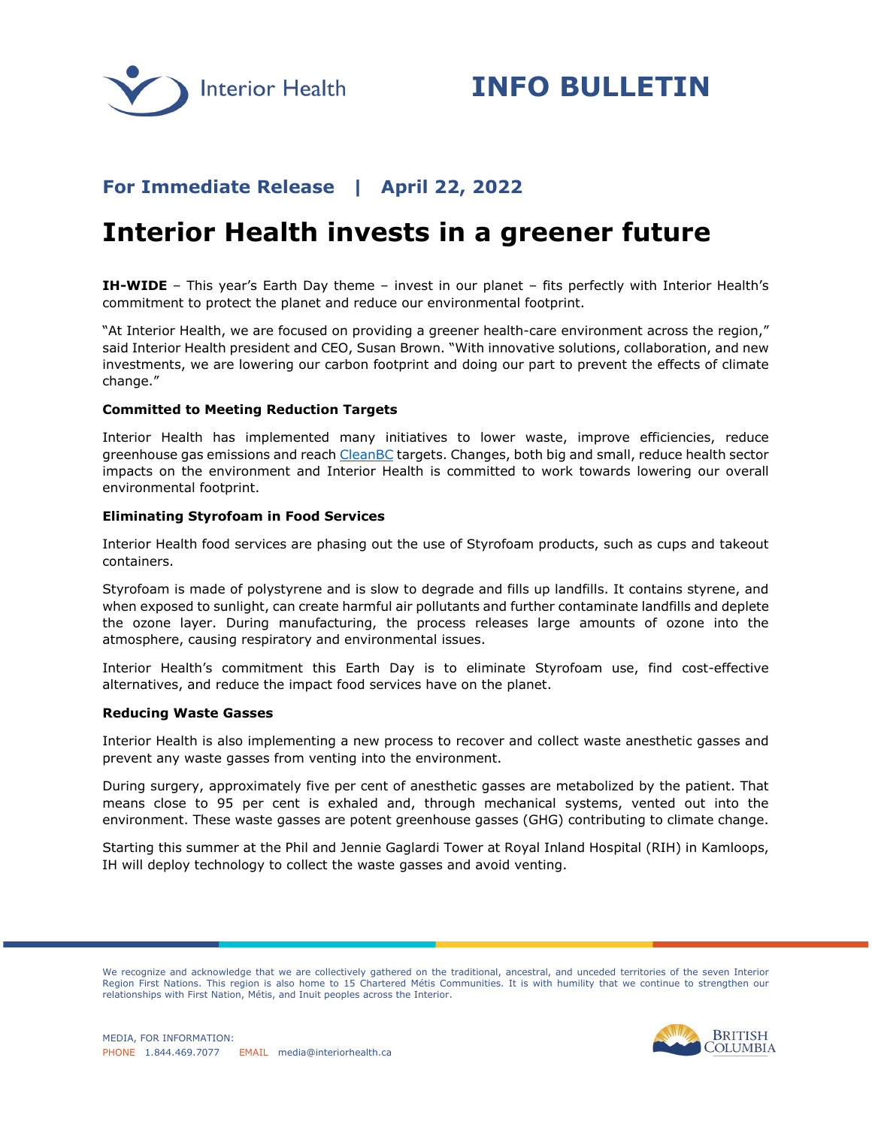

## **For Immediate Release | April 22, 2022**

# **Interior Health invests in a greener future**

**IH-WIDE** – This year's Earth Day theme – invest in our planet – fits perfectly with Interior Health's commitment to protect the planet and reduce our environmental footprint.

"At Interior Health, we are focused on providing a greener health-care environment across the region," said Interior Health president and CEO, Susan Brown. "With innovative solutions, collaboration, and new investments, we are lowering our carbon footprint and doing our part to prevent the effects of climate change."

### **Committed to Meeting Reduction Targets**

Interior Health has implemented many initiatives to lower waste, improve efficiencies, reduce greenhouse gas emissions and reach [CleanBC](https://cleanbc.gov.bc.ca/) targets. Changes, both big and small, reduce health sector impacts on the environment and Interior Health is committed to work towards lowering our overall environmental footprint.

#### **Eliminating Styrofoam in Food Services**

Interior Health food services are phasing out the use of Styrofoam products, such as cups and takeout containers.

Styrofoam is made of polystyrene and is slow to degrade and fills up landfills. It contains styrene, and when exposed to sunlight, can create harmful air pollutants and further contaminate landfills and deplete the ozone layer. During manufacturing, the process releases large amounts of ozone into the atmosphere, causing respiratory and environmental issues.

Interior Health's commitment this Earth Day is to eliminate Styrofoam use, find cost-effective alternatives, and reduce the impact food services have on the planet.

#### **Reducing Waste Gasses**

Interior Health is also implementing a new process to recover and collect waste anesthetic gasses and prevent any waste gasses from venting into the environment.

During surgery, approximately five per cent of anesthetic gasses are metabolized by the patient. That means close to 95 per cent is exhaled and, through mechanical systems, vented out into the environment. These waste gasses are potent greenhouse gasses (GHG) contributing to climate change.

Starting this summer at the Phil and Jennie Gaglardi Tower at Royal Inland Hospital (RIH) in Kamloops, IH will deploy technology to collect the waste gasses and avoid venting.

We recognize and acknowledge that we are collectively gathered on the traditional, ancestral, and unceded territories of the seven Interior Region First Nations. This region is also home to 15 Chartered Métis Communities. It is with humility that we continue to strengthen our relationships with First Nation, Métis, and Inuit peoples across the Interior.